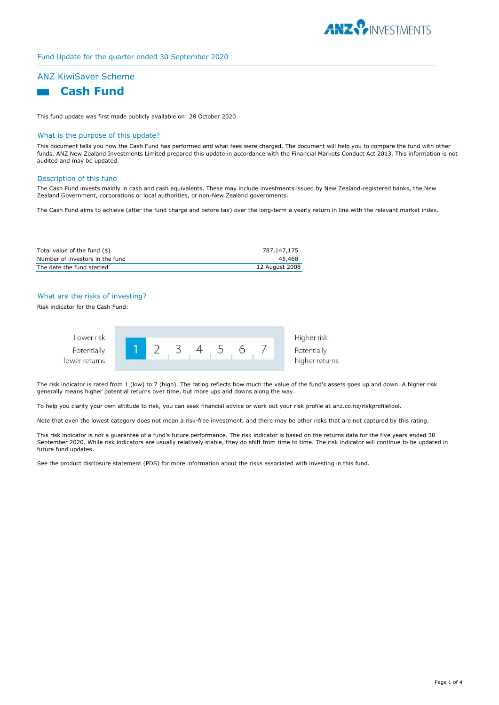

# Fund Update for the quarter ended 30 September 2020

# ANZ KiwiSaver Scheme

# **Cash Fund**

This fund update was first made publicly available on: 28 October 2020

### What is the purpose of this update?

This document tells you how the Cash Fund has performed and what fees were charged. The document will help you to compare the fund with other funds. ANZ New Zealand Investments Limited prepared this update in accordance with the Financial Markets Conduct Act 2013. This information is not audited and may be updated.

#### Description of this fund

The Cash Fund invests mainly in cash and cash equivalents. These may include investments issued by New Zealand-registered banks, the New Zealand Government, corporations or local authorities, or non-New Zealand governments.

The Cash Fund aims to achieve (after the fund charge and before tax) over the long-term a yearly return in line with the relevant market index.

| Total value of the fund (\$)    | 787.147.175    |
|---------------------------------|----------------|
| Number of investors in the fund | 45,468         |
| The date the fund started       | 12 August 2008 |

# What are the risks of investing?

Risk indicator for the Cash Fund:



The risk indicator is rated from 1 (low) to 7 (high). The rating reflects how much the value of the fund's assets goes up and down. A higher risk generally means higher potential returns over time, but more ups and downs along the way.

To help you clarify your own attitude to risk, you can seek financial advice or work out your risk profile at anz.co.nz/riskprofiletool.

Note that even the lowest category does not mean a risk-free investment, and there may be other risks that are not captured by this rating.

This risk indicator is not a guarantee of a fund's future performance. The risk indicator is based on the returns data for the five years ended 30 September 2020. While risk indicators are usually relatively stable, they do shift from time to time. The risk indicator will continue to be updated in future fund updates.

See the product disclosure statement (PDS) for more information about the risks associated with investing in this fund.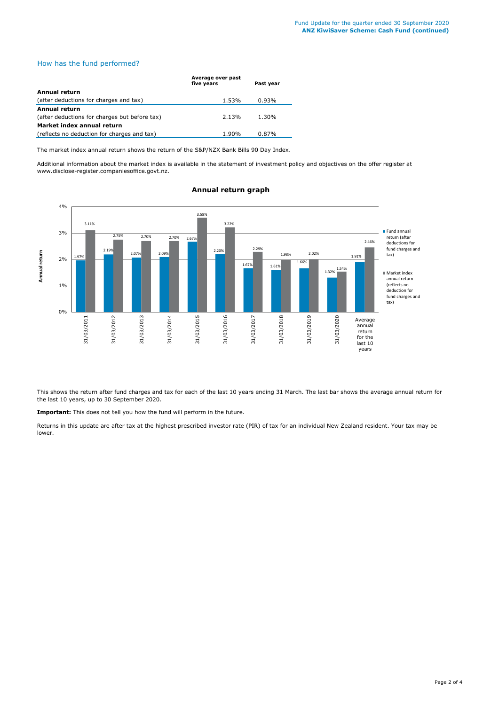## How has the fund performed?

|                                               | Average over past<br>five years | Past year |
|-----------------------------------------------|---------------------------------|-----------|
| <b>Annual return</b>                          |                                 |           |
| (after deductions for charges and tax)        | 1.53%                           | $0.93\%$  |
| <b>Annual return</b>                          |                                 |           |
| (after deductions for charges but before tax) | 2.13%                           | 1.30%     |
| Market index annual return                    |                                 |           |
| (reflects no deduction for charges and tax)   | 1.90%                           | 0.87%     |

The market index annual return shows the return of the S&P/NZX Bank Bills 90 Day Index.

Additional information about the market index is available in the statement of investment policy and objectives on the offer register at www.disclose-register.companiesoffice.govt.nz.



# **Annual return graph**

This shows the return after fund charges and tax for each of the last 10 years ending 31 March. The last bar shows the average annual return for the last 10 years, up to 30 September 2020.

**Important:** This does not tell you how the fund will perform in the future.

Returns in this update are after tax at the highest prescribed investor rate (PIR) of tax for an individual New Zealand resident. Your tax may be lower.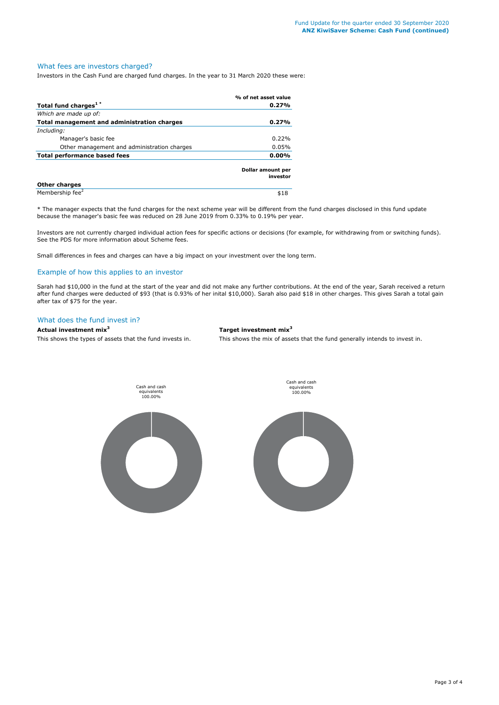## What fees are investors charged?

Investors in the Cash Fund are charged fund charges. In the year to 31 March 2020 these were:

|                                             | % of net asset value          |
|---------------------------------------------|-------------------------------|
| Total fund charges <sup>1*</sup>            | 0.27%                         |
| Which are made up of:                       |                               |
| Total management and administration charges | 0.27%                         |
| Including:                                  |                               |
| Manager's basic fee                         | 0.22%                         |
| Other management and administration charges | 0.05%                         |
| Total performance based fees<br>$0.00\%$    |                               |
|                                             | Dollar amount per<br>investor |
| <b>Other charges</b>                        |                               |
| Membership fee <sup>2</sup>                 | \$18                          |

\* The manager expects that the fund charges for the next scheme year will be different from the fund charges disclosed in this fund update because the manager's basic fee was reduced on 28 June 2019 from 0.33% to 0.19% per year.

Investors are not currently charged individual action fees for specific actions or decisions (for example, for withdrawing from or switching funds). See the PDS for more information about Scheme fees.

Small differences in fees and charges can have a big impact on your investment over the long term.

## Example of how this applies to an investor

Sarah had \$10,000 in the fund at the start of the year and did not make any further contributions. At the end of the year, Sarah received a return after fund charges were deducted of \$93 (that is 0.93% of her inital \$10,000). Sarah also paid \$18 in other charges. This gives Sarah a total gain after tax of \$75 for the year.

## What does the fund invest in?

# **Actual investment mix<sup>3</sup> Target investment mix<sup>3</sup>**

This shows the types of assets that the fund invests in. This shows the mix of assets that the fund generally intends to invest in.